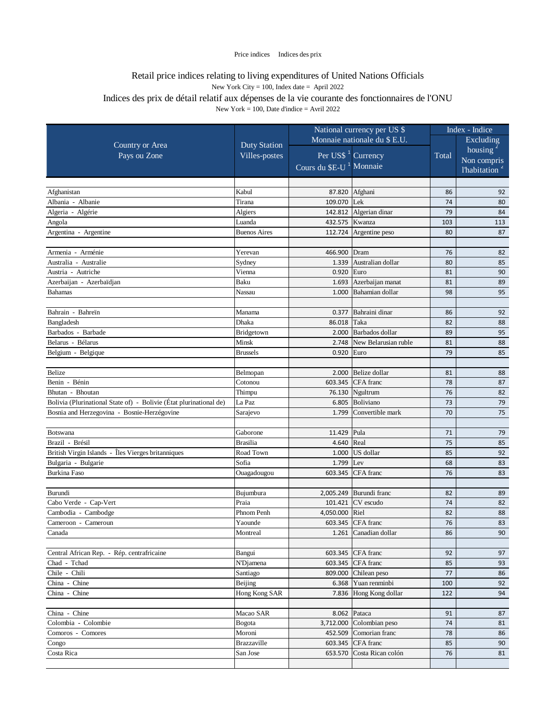|                                                                    |                              | National currency per US \$         |                            |           | Index - Indice            |  |
|--------------------------------------------------------------------|------------------------------|-------------------------------------|----------------------------|-----------|---------------------------|--|
|                                                                    | Monnaie nationale du \$ E.U. |                                     |                            | Excluding |                           |  |
| Country or Area                                                    | <b>Duty Station</b>          |                                     |                            | Total     | housing $2$               |  |
| Pays ou Zone                                                       | Villes-postes                | Per US\$ <sup>1</sup> Currency      |                            |           | Non compris               |  |
|                                                                    |                              | Cours du \$E-U <sup>1</sup> Monnaie |                            |           | l'habitation <sup>2</sup> |  |
|                                                                    |                              |                                     |                            |           |                           |  |
| Afghanistan                                                        | Kabul                        | 87.820                              | Afghani                    | 86        | 92                        |  |
| Albania - Albanie                                                  | Tirana                       | 109.070                             | Lek                        | 74        | 80                        |  |
| Algeria - Algérie                                                  | Algiers                      | 142.812                             | Algerian dinar             | 79        | 84                        |  |
| Angola                                                             | Luanda                       | 432.575                             | Kwanza                     | 103       | 113                       |  |
| Argentina - Argentine                                              | <b>Buenos Aires</b>          | 112.724                             | Argentine peso             | 80        | 87                        |  |
|                                                                    |                              |                                     |                            |           |                           |  |
| Armenia - Arménie                                                  | Yerevan                      | 466.900                             | Dram                       | 76        | 82                        |  |
| Australia - Australie                                              | Sydney                       | 1.339                               | Australian dollar          | 80        | 85                        |  |
| Austria - Autriche                                                 | Vienna                       | 0.920                               | Euro                       | 81        | 90                        |  |
| Azerbaijan - Azerbaïdjan                                           | Baku                         | 1.693                               | Azerbaijan manat           | 81        | 89                        |  |
| <b>Bahamas</b>                                                     | Nassau                       | 1.000                               | Bahamian dollar            | 98        | 95                        |  |
|                                                                    |                              |                                     |                            |           |                           |  |
| Bahrain - Bahreïn                                                  | Manama                       | 0.377                               | Bahraini dinar             | 86        | 92                        |  |
| Bangladesh                                                         | Dhaka                        | 86.018                              | Taka                       | 82        | 88                        |  |
| Barbados - Barbade                                                 | Bridgetown                   | 2.000                               | Barbados dollar            | 89        | 95                        |  |
| Belarus - Bélarus                                                  | Minsk                        | 2.748                               | New Belarusian ruble       | 81        | 88                        |  |
| Belgium - Belgique                                                 | <b>Brussels</b>              | 0.920                               | Euro                       | 79        | 85                        |  |
|                                                                    |                              |                                     |                            |           |                           |  |
| Belize                                                             | Belmopan                     | 2.000                               | Belize dollar              | 81        | 88                        |  |
| Benin - Bénin                                                      | Cotonou                      | 603.345                             | CFA franc                  | 78        | 87                        |  |
| Bhutan - Bhoutan                                                   | Thimpu                       | 76.130                              | Ngultrum                   | 76        | 82                        |  |
| Bolivia (Plurinational State of) - Bolivie (État plurinational de) | La Paz                       | 6.805                               | Boliviano                  | 73        | 79                        |  |
| Bosnia and Herzegovina - Bosnie-Herzégovine                        | Sarajevo                     | 1.799                               | Convertible mark           | 70        | 75                        |  |
|                                                                    |                              |                                     |                            |           |                           |  |
| <b>Botswana</b>                                                    | Gaborone                     | 11.429                              | Pula                       | 71        | 79                        |  |
| Brazil - Brésil                                                    | <b>Brasilia</b>              | 4.640                               | Real                       | 75        | 85                        |  |
| British Virgin Islands - Îles Vierges britanniques                 | Road Town                    | 1.000                               | US dollar                  | 85        | 92                        |  |
| Bulgaria - Bulgarie                                                | Sofia                        | 1.799                               | Lev                        | 68        | 83                        |  |
| <b>Burkina Faso</b>                                                | Ouagadougou                  | 603.345                             | CFA franc                  | 76        | 83                        |  |
|                                                                    |                              |                                     |                            |           |                           |  |
| Burundi                                                            | Bujumbura<br>Praia           | 2,005.249                           | Burundi franc<br>CV escudo | 82<br>74  | 89                        |  |
| Cabo Verde - Cap-Vert<br>Cambodia - Cambodge                       | Phnom Penh                   | 101.421<br>4,050.000                | Riel                       | 82        | 82<br>88                  |  |
| Cameroon - Cameroun                                                | Yaounde                      | 603.345                             | CFA franc                  | 76        | 83                        |  |
| Canada                                                             | Montreal                     |                                     | 1.261 Canadian dollar      | 86        | 90                        |  |
|                                                                    |                              |                                     |                            |           |                           |  |
| Central African Rep. - Rép. centrafricaine                         | Bangui                       | 603.345                             | CFA franc                  | 92        | 97                        |  |
| Chad - Tchad                                                       | N'Djamena                    | 603.345                             | CFA franc                  | 85        | 93                        |  |
| Chile - Chili                                                      | Santiago                     | 809.000                             | Chilean peso               | 77        | 86                        |  |
| China - Chine                                                      | Beijing                      | 6.368                               | Yuan renminbi              | 100       | 92                        |  |
| China - Chine                                                      | Hong Kong SAR                | 7.836                               | Hong Kong dollar           | 122       | 94                        |  |
|                                                                    |                              |                                     |                            |           |                           |  |
| China - Chine                                                      | Macao SAR                    | 8.062                               | Pataca                     | 91        | 87                        |  |
| Colombia - Colombie                                                | Bogota                       | 3,712.000                           | Colombian peso             | 74        | 81                        |  |
| Comoros - Comores                                                  | Moroni                       | 452.509                             | Comorian franc             | 78        | 86                        |  |
| Congo                                                              | Brazzaville                  | 603.345                             | CFA franc                  | 85        | 90                        |  |
| Costa Rica                                                         | San Jose                     | 653.570                             | Costa Rican colón          | 76        | 81                        |  |
|                                                                    |                              |                                     |                            |           |                           |  |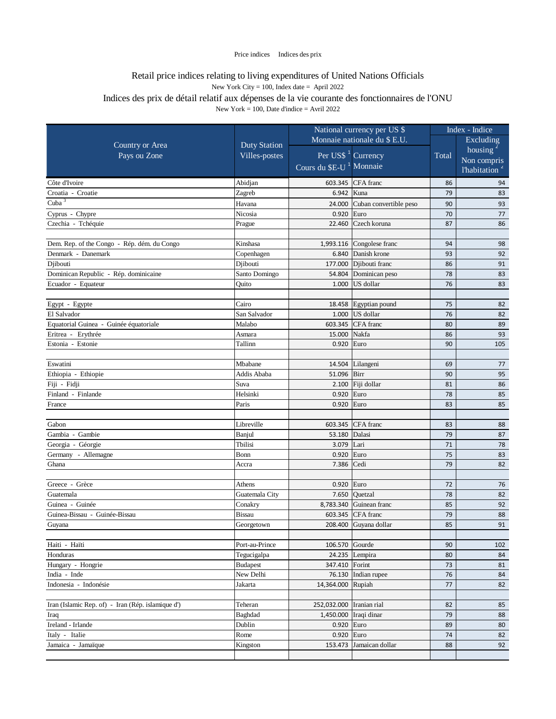|                                                   | National currency per US \$   |                                     | Index - Indice            |          |                           |
|---------------------------------------------------|-------------------------------|-------------------------------------|---------------------------|----------|---------------------------|
|                                                   | <b>Duty Station</b>           | Monnaie nationale du \$ E.U.        |                           |          | Excluding                 |
| Country or Area                                   |                               |                                     |                           |          | housing $2$               |
| Pays ou Zone                                      | Villes-postes                 | Per US\$ <sup>1</sup> Currency      |                           | Total    | Non compris               |
|                                                   |                               | Cours du \$E-U <sup>1</sup> Monnaie |                           |          | l'habitation <sup>2</sup> |
| Côte d'Ivoire                                     | Abidjan                       |                                     | 603.345 CFA franc         | 86       | 94                        |
| Croatia - Croatie                                 | Zagreb                        | 6.942                               | Kuna                      | 79       | 83                        |
| Cuba $3$                                          | Havana                        | 24.000                              | Cuban convertible peso    | 90       | 93                        |
| Cyprus - Chypre                                   | Nicosia                       | 0.920                               | Euro                      | 70       | 77                        |
| Czechia - Tchéquie                                | Prague                        | 22.460                              | Czech koruna              | 87       | 86                        |
|                                                   |                               |                                     |                           |          |                           |
| Dem. Rep. of the Congo - Rép. dém. du Congo       | Kinshasa                      |                                     | 1,993.116 Congolese franc | 94       | 98                        |
| Denmark - Danemark                                | Copenhagen                    | 6.840                               | Danish krone              | 93       | 92                        |
| Djibouti                                          | Djibouti                      | 177.000                             | Djibouti franc            | 86       | 91                        |
| Dominican Republic - Rép. dominicaine             | Santo Domingo                 | 54.804                              | Dominican peso            | 78       | 83                        |
| Ecuador - Equateur                                | Ouito                         | 1.000                               | US dollar                 | 76       | 83                        |
|                                                   |                               |                                     |                           |          |                           |
| Egypt - Egypte                                    | Cairo                         |                                     | 18.458 Egyptian pound     | 75       | 82                        |
| El Salvador                                       | San Salvador                  | 1.000                               | US dollar                 | 76       | 82                        |
| Equatorial Guinea - Guinée équatoriale            | Malabo                        | 603.345                             | CFA franc                 | 80       | 89                        |
| Eritrea - Erythrée                                | Asmara                        | 15.000                              | Nakfa                     | 86       | 93                        |
| Estonia - Estonie                                 | Tallinn                       | 0.920                               | Euro                      | 90       | 105                       |
|                                                   |                               |                                     |                           |          |                           |
| Eswatini                                          | Mbabane                       |                                     | 14.504 Lilangeni          | 69       | 77                        |
| Ethiopia - Ethiopie                               | Addis Ababa                   | 51.096                              | Birr                      | 90       | 95                        |
| Fiji - Fidji                                      | Suva                          | 2.100                               | Fiji dollar               | 81       | 86                        |
| Finland - Finlande                                | Helsinki                      | 0.920                               | Euro                      | 78       | 85                        |
| France                                            | Paris                         | 0.920                               | Euro                      | 83       | 85                        |
|                                                   |                               |                                     |                           |          |                           |
| Gabon                                             | Libreville                    | 603.345                             | CFA franc                 | 83       | 88                        |
| Gambia - Gambie                                   | Banjul                        | 53.180                              | Dalasi                    | 79       | 87                        |
| Georgia - Géorgie                                 | Tbilisi                       | 3.079                               | Lari                      | 71       | 78                        |
| Germany - Allemagne                               | Bonn                          | 0.920                               | Euro                      | 75       | 83                        |
| Ghana                                             | Accra                         | 7.386                               | Cedi                      | 79       | 82                        |
|                                                   |                               |                                     |                           |          |                           |
| Greece - Grèce                                    | Athens                        | 0.920                               | Euro                      | 72       | 76                        |
| Guatemala                                         | Guatemala City                | 7.650                               | Ouetzal                   | 78       | 82                        |
| Guinea - Guinée                                   | Conakry                       | 8,783.340                           | Guinean franc             | 85       | 92                        |
| Guinea-Bissau - Guinée-Bissau                     | <b>Bissau</b>                 | 603.345                             | CFA franc                 | 79       | 88                        |
| Guyana                                            | Georgetown                    |                                     | 208.400 Guyana dollar     | 85       | 91                        |
|                                                   |                               |                                     |                           |          |                           |
| Haiti - Haïti<br>Honduras                         | Port-au-Prince<br>Tegucigalpa | 106.570                             | Gourde                    | 90<br>80 | 102<br>84                 |
| Hungary - Hongrie                                 | <b>Budapest</b>               | 24.235<br>347.410                   | Lempira<br>Forint         | 73       |                           |
| India - Inde                                      | New Delhi                     |                                     | 76.130 Indian rupee       | 76       | 81<br>84                  |
| Indonesia - Indonésie                             | Jakarta                       | 14,364.000                          | Rupiah                    | 77       | 82                        |
|                                                   |                               |                                     |                           |          |                           |
| Iran (Islamic Rep. of) - Iran (Rép. islamique d') | Teheran                       | 252,032.000                         | Iranian rial              | 82       | 85                        |
| Iraq                                              | Baghdad                       | 1,450.000                           | Iraqi dinar               | 79       | 88                        |
| Ireland - Irlande                                 | Dublin                        | 0.920                               | Euro                      | 89       | 80                        |
| Italy - Italie                                    | Rome                          | 0.920 Euro                          |                           | 74       | 82                        |
| Jamaica - Jamaïque                                | Kingston                      | 153.473                             | Jamaican dollar           | 88       | 92                        |
|                                                   |                               |                                     |                           |          |                           |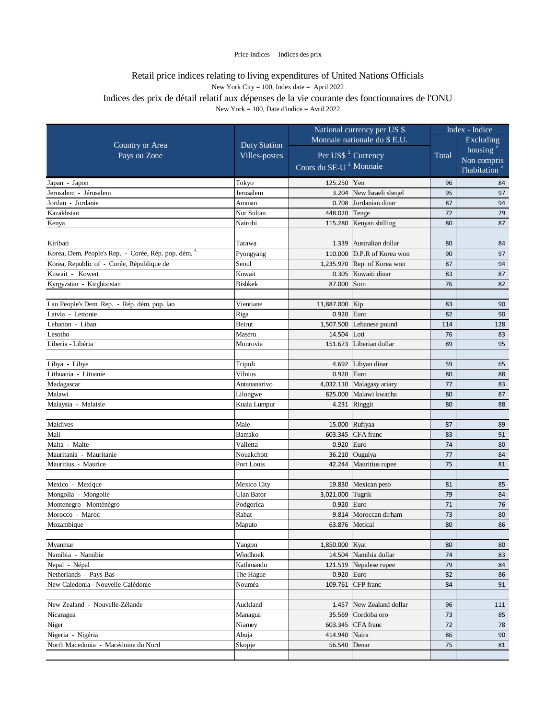|                                                     |                     | National currency per US \$<br>Monnaie nationale du \$ E.U. |                    | Index - Indice |                           |
|-----------------------------------------------------|---------------------|-------------------------------------------------------------|--------------------|----------------|---------------------------|
|                                                     |                     |                                                             |                    |                | Excluding                 |
| Country or Area                                     | <b>Duty Station</b> |                                                             |                    |                | housing $2$               |
| Pays ou Zone                                        | Villes-postes       | Per US\$ <sup>1</sup> Currency                              |                    | Total          | Non compris               |
|                                                     |                     | Cours du <b>SE-U<sup>1</sup></b> Monnaie                    |                    |                | l'habitation <sup>2</sup> |
| Japan - Japon                                       | Tokyo               | 125.250                                                     | Yen                | 96             | 84                        |
| Jerusalem - Jérusalem                               | Jerusalem           | 3.204                                                       | New Israeli sheqel | 95             | 97                        |
| Jordan - Jordanie                                   | Amman               | 0.708                                                       | Jordanian dinar    | 87             | 94                        |
| Kazakhstan                                          | Nur Sultan          | 448.020                                                     | Tenge              | 72             | 79                        |
| Kenya                                               | Nairobi             | 115.280                                                     | Kenyan shilling    | 80             | 87                        |
|                                                     |                     |                                                             |                    |                |                           |
| Kiribati                                            | Tarawa              | 1.339                                                       | Australian dollar  | 80             | 84                        |
| Korea, Dem. People's Rep. - Corée, Rép. pop. dém. 3 | Pyongyang           | 110.000                                                     | D.P.R of Korea won | 90             | 97                        |
| Korea, Republic of - Corée, République de           | Seoul               | 1,235.970                                                   | Rep. of Korea won  | 87             | 94                        |
| Kuwait - Koweit                                     | Kuwait              | 0.305                                                       | Kuwaiti dinar      | 83             | 87                        |
| Kyrgyzstan - Kirghizistan                           | <b>Bishkek</b>      | 87.000                                                      | Som                | 76             | 82                        |
|                                                     |                     |                                                             |                    |                |                           |
| Lao People's Dem. Rep. - Rép. dém. pop. lao         | Vientiane           | 11,887.000                                                  | Kip                | 83             | 90                        |
| Latvia - Lettonie                                   | Riga                | 0.920                                                       | Euro               | 82             | 90                        |
| Lebanon - Liban                                     | Beirut              | 1,507.500                                                   | Lebanese pound     | 114            | 128                       |
| Lesotho                                             | Maseru              | 14.504                                                      | Loti               | 76             | 83                        |
| Liberia - Libéria                                   | Monrovia            | 151.673                                                     | Liberian dollar    | 89             | 95                        |
|                                                     |                     |                                                             |                    |                |                           |
| Libya - Libye                                       | Tripoli             | 4.692                                                       | Libyan dinar       | 59             | 65                        |
| Lithuania - Lituanie                                | Vilnius             | 0.920                                                       | Euro               | 80             | 88                        |
| Madagascar                                          | Antananarivo        | 4,032.110                                                   | Malagasy ariary    | 77             | 83                        |
| Malawi                                              | Lilongwe            | 825.000                                                     | Malawi kwacha      | 80             | 87                        |
| Malaysia - Malaisie                                 | Kuala Lumpur        |                                                             | 4.231 Ringgit      | 80             | 88                        |
|                                                     |                     |                                                             |                    |                |                           |
| Maldives                                            | Male                | 15.000                                                      | Rufiyaa            | 87             | 89                        |
| Mali                                                | Bamako              | 603.345                                                     | CFA franc          | 83             | 91                        |
| Malta - Malte                                       | Valletta            | 0.920                                                       | Euro               | 74             | 80                        |
| Mauritania - Mauritanie                             | Nouakchott          | 36.210                                                      | Ouguiya            | 77             | 84                        |
| Mauritius - Maurice                                 | Port Louis          | 42.244                                                      | Mauritius rupee    | 75             | 81                        |
|                                                     |                     |                                                             |                    |                |                           |
| Mexico - Mexique                                    | Mexico City         | 19.830                                                      | Mexican peso       | 81             | 85                        |
| Mongolia - Mongolie                                 | <b>Ulan Bator</b>   | 3,021.000                                                   | Tugrik             | 79             | 84                        |
| Montenegro - Monténégro                             | Podgorica           | 0.920                                                       | Euro               | 71             | 76                        |
| Morocco - Maroc                                     | Rabat               | 9.814                                                       | Moroccan dirham    | 73             | 80                        |
| Mozambique                                          | Maputo              |                                                             | 63.876 Metical     | 80             | 86                        |
|                                                     |                     |                                                             |                    |                |                           |
| Myanmar                                             | Yangon              | 1,850.000                                                   | Kyat               | 80             | 80                        |
| Namibia - Namibie                                   | Windhoek            | 14.504                                                      | Namibia dollar     | 74             | 83                        |
| Nepal - Népal                                       | Kathmandu           | 121.519                                                     | Nepalese rupee     | 79             | 84                        |
| Netherlands - Pays-Bas                              | The Hague           | 0.920                                                       | Euro               | 82             | 86                        |
| New Caledonia - Nouvelle-Calédonie                  | Nouméa              | 109.761                                                     | CFP franc          | 84             | 91                        |
|                                                     |                     |                                                             |                    |                |                           |
| New Zealand - Nouvelle-Zélande                      | Auckland            | 1.457                                                       | New Zealand dollar | 96             | 111                       |
| Nicaragua                                           | Managua             | 35.569                                                      | Cordoba oro        | 73             | 85                        |
| Niger                                               | Niamey              | 603.345                                                     | CFA franc          | 72             | 78                        |
| Nigeria - Nigéria                                   | Abuja               | 414.940                                                     | Naira              | 86             | 90                        |
| North Macedonia - Macédoine du Nord                 | Skopje              | 56.540                                                      | Denar              | 75             | 81                        |
|                                                     |                     |                                                             |                    |                |                           |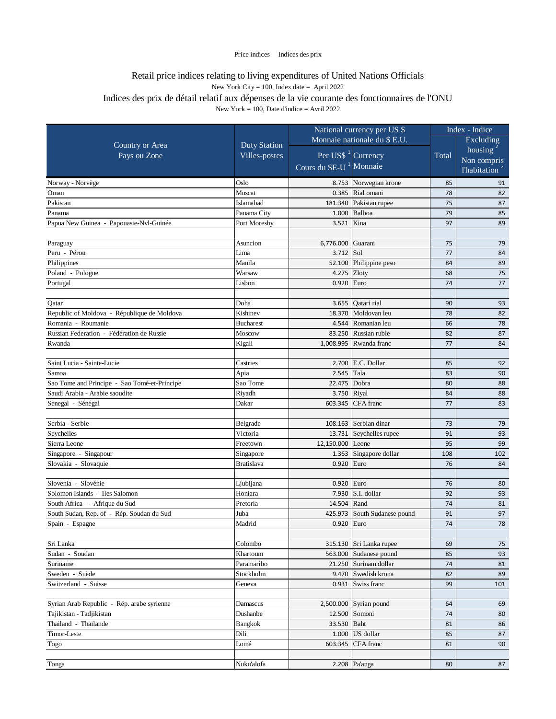|                                              |                     | National currency per US \$         |                          | Index - Indice |                           |
|----------------------------------------------|---------------------|-------------------------------------|--------------------------|----------------|---------------------------|
| Country or Area                              |                     | Monnaie nationale du \$ E.U.        |                          |                | Excluding                 |
|                                              | <b>Duty Station</b> |                                     |                          |                | housing                   |
| Pays ou Zone                                 | Villes-postes       | Per US\$ <sup>1</sup> Currency      |                          | Total          | Non compris               |
|                                              |                     | Cours du \$E-U <sup>1</sup> Monnaie |                          |                | l'habitation <sup>2</sup> |
| Norway - Norvège                             | Oslo                |                                     | 8.753 Norwegian krone    | 85             | 91                        |
| Oman                                         | Muscat              |                                     | 0.385 Rial omani         | 78             | 82                        |
| Pakistan                                     | Islamabad           |                                     | 181.340 Pakistan rupee   | 75             | 87                        |
| Panama                                       | Panama City         |                                     | $1.000$ Balboa           | 79             | 85                        |
| Papua New Guinea - Papouasie-Nvl-Guinée      | Port Moresby        | 3.521                               | Kina                     | 97             | 89                        |
|                                              |                     |                                     |                          |                |                           |
| Paraguay                                     | Asuncion            | 6,776.000                           | Guarani                  | 75             | 79                        |
| Peru - Pérou                                 | Lima                | 3.712 Sol                           |                          | 77             | 84                        |
| Philippines                                  | Manila              | 52.100                              | Philippine peso          | 84             | 89                        |
| Poland - Pologne                             | Warsaw              | 4.275 Zloty                         |                          | 68             | 75                        |
| Portugal                                     | Lisbon              | 0.920                               | Euro                     | 74             | 77                        |
|                                              |                     |                                     |                          |                |                           |
| Qatar                                        | Doha                | 3.655                               | Qatari rial              | 90             | 93                        |
| Republic of Moldova - République de Moldova  | Kishinev            | 18.370                              | Moldovan leu             | 78             | 82                        |
| Romania - Roumanie                           | Bucharest           |                                     | 4.544 Romanian leu       | 66             | 78                        |
| Russian Federation - Fédération de Russie    | Moscow              |                                     | 83.250 Russian ruble     | 82             | 87                        |
| Rwanda                                       | Kigali              |                                     | 1,008.995 Rwanda franc   | 77             | 84                        |
|                                              |                     |                                     |                          |                |                           |
| Saint Lucia - Sainte-Lucie                   | Castries            |                                     | 2.700 E.C. Dollar        | 85             | 92                        |
| Samoa                                        | Apia                | 2.545                               | Tala                     | 83             | 90                        |
| Sao Tome and Principe - Sao Tomé-et-Principe | Sao Tome            | 22.475                              | Dobra                    | 80             | 88                        |
| Saudi Arabia - Arabie saoudite               | Riyadh              | 3.750 Riyal                         |                          | 84             | 88                        |
| Senegal - Sénégal                            | Dakar               | 603.345                             | CFA franc                | 77             | 83                        |
|                                              |                     |                                     |                          |                |                           |
| Serbia - Serbie                              | Belgrade            | 108.163                             | Serbian dinar            | 73             | 79                        |
| Seychelles                                   | Victoria            |                                     | 13.731 Seychelles rupee  | 91             | 93                        |
| Sierra Leone                                 | Freetown            | 12,150.000                          | Leone                    | 95             | 99                        |
| Singapore - Singapour                        | Singapore           | 1.363                               | Singapore dollar         | 108            | 102                       |
| Slovakia - Slovaquie                         | <b>Bratislava</b>   | 0.920                               | Euro                     | 76             | 84                        |
|                                              |                     |                                     |                          |                |                           |
| Slovenia - Slovénie                          | Ljubljana           | 0.920                               | Euro                     | 76             | 80                        |
| Solomon Islands - Iles Salomon               | Honiara             | 7.930                               | S.I. dollar              | 92             | 93                        |
| South Africa - Afrique du Sud                | Pretoria            | 14.504 Rand                         |                          | 74             | 81                        |
| South Sudan, Rep. of - Rép. Soudan du Sud    | Juba                | 425.973                             | South Sudanese pound     | 91             | 97                        |
| Spain - Espagne                              | Madrid              | 0.920 Euro                          |                          | 74             | 78                        |
|                                              |                     |                                     |                          |                |                           |
| Sri Lanka                                    | Colombo             |                                     | 315.130 Sri Lanka rupee  | 69             | 75                        |
| Sudan - Soudan                               | Khartoum            |                                     | 563.000 Sudanese pound   | 85             | 93                        |
| Suriname                                     | Paramaribo          |                                     | 21.250 Surinam dollar    | 74             | 81                        |
| Sweden - Suède                               | Stockholm           |                                     | 9.470 Swedish krona      | 82             | 89                        |
| Switzerland - Suisse                         | Geneva              | 0.931                               | Swiss franc              | 99             | 101                       |
|                                              |                     |                                     |                          |                |                           |
| Syrian Arab Republic - Rép. arabe syrienne   | Damascus            |                                     | $2,500.000$ Syrian pound | 64             | 69                        |
| Tajikistan - Tadjikistan                     | Dushanbe            | 12.500                              | Somoni                   | 74             | 80                        |
| Thailand - Thaïlande                         | Bangkok             | 33.530 Baht                         |                          | 81             | 86                        |
| Timor-Leste                                  | Dili                | 1.000                               | US dollar                | 85             | 87                        |
| Togo                                         | Lomé                | 603.345                             | CFA franc                | 81             | 90                        |
|                                              |                     |                                     |                          |                |                           |
| Tonga                                        | Nuku'alofa          |                                     | $2.208$ Pa'anga          | 80             | 87                        |
|                                              |                     |                                     |                          |                |                           |